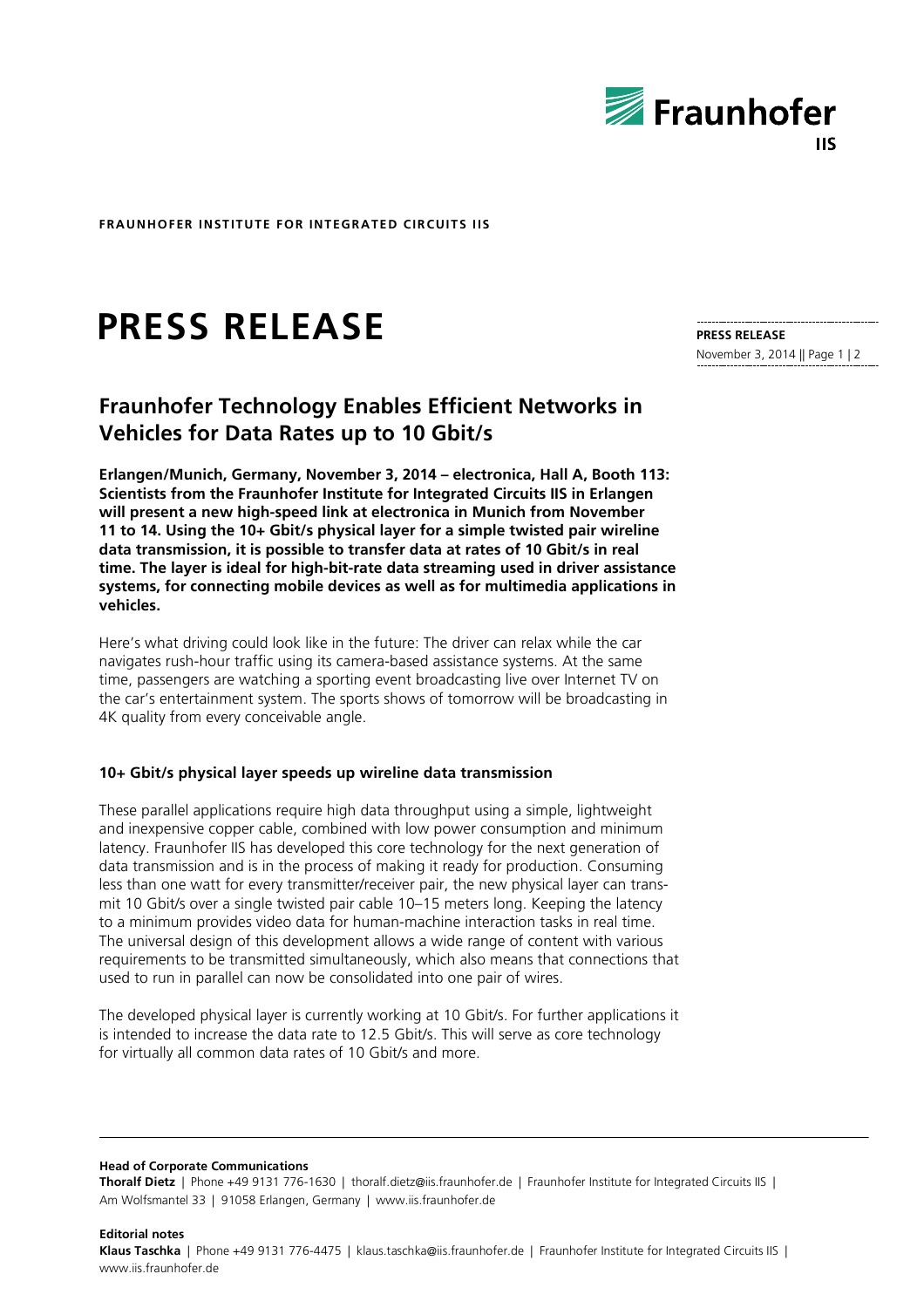

**FRAUNHOFER INSTITUTE FOR INTEGRATED CIRCUITS IIS**

# **PRESS RELEASE**

## **Fraunhofer Technology Enables Efficient Networks in Vehicles for Data Rates up to 10 Gbit/s**

**Erlangen/Munich, Germany, November 3, 2014 – electronica, Hall A, Booth 113: Scientists from the Fraunhofer Institute for Integrated Circuits IIS in Erlangen will present a new high-speed link at electronica in Munich from November 11 to 14. Using the 10+ Gbit/s physical layer for a simple twisted pair wireline data transmission, it is possible to transfer data at rates of 10 Gbit/s in real time. The layer is ideal for high-bit-rate data streaming used in driver assistance systems, for connecting mobile devices as well as for multimedia applications in vehicles.**

Here's what driving could look like in the future: The driver can relax while the car navigates rush-hour traffic using its camera-based assistance systems. At the same time, passengers are watching a sporting event broadcasting live over Internet TV on the car's entertainment system. The sports shows of tomorrow will be broadcasting in 4K quality from every conceivable angle.

### **10+ Gbit/s physical layer speeds up wireline data transmission**

These parallel applications require high data throughput using a simple, lightweight and inexpensive copper cable, combined with low power consumption and minimum latency. Fraunhofer IIS has developed this core technology for the next generation of data transmission and is in the process of making it ready for production. Consuming less than one watt for every transmitter/receiver pair, the new physical layer can transmit 10 Gbit/s over a single twisted pair cable 10–15 meters long. Keeping the latency to a minimum provides video data for human-machine interaction tasks in real time. The universal design of this development allows a wide range of content with various requirements to be transmitted simultaneously, which also means that connections that used to run in parallel can now be consolidated into one pair of wires.

The developed physical layer is currently working at 10 Gbit/s. For further applications it is intended to increase the data rate to 12.5 Gbit/s. This will serve as core technology for virtually all common data rates of 10 Gbit/s and more.

**Head of Corporate Communications**

**Editorial notes**

**Thoralf Dietz** | Phone +49 9131 776-1630 | thoralf.dietz@iis.fraunhofer.de | Fraunhofer Institute for Integrated Circuits IIS | Am Wolfsmantel 33 | 91058 Erlangen, Germany | www.iis.fraunhofer.de

### **PRESS RELEASE** November 3, 2014 || Page 1 | 2

**Klaus Taschka** | Phone +49 9131 776-4475 | klaus.taschka@iis.fraunhofer.de | Fraunhofer Institute for Integrated Circuits IIS | www.iis.fraunhofer.de